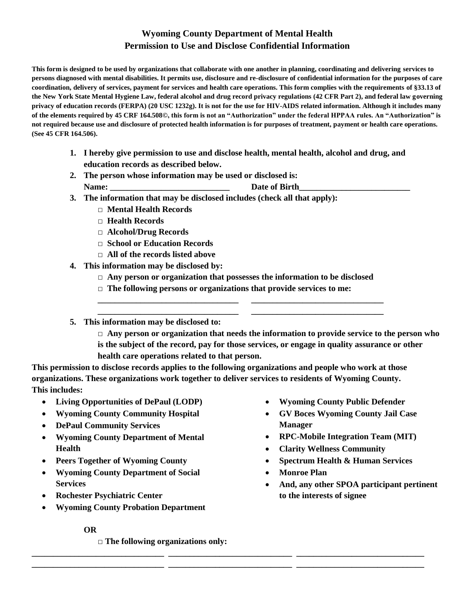## **Wyoming County Department of Mental Health Permission to Use and Disclose Confidential Information**

**This form is designed to be used by organizations that collaborate with one another in planning, coordinating and delivering services to persons diagnosed with mental disabilities. It permits use, disclosure and re-disclosure of confidential information for the purposes of care coordination, delivery of services, payment for services and health care operations. This form complies with the requirements of §33.13 of the New York State Mental Hygiene Law, federal alcohol and drug record privacy regulations (42 CFR Part 2), and federal law governing privacy of education records (FERPA) (20 USC 1232g). It is not for the use for HIV-AIDS related information. Although it includes many of the elements required by 45 CRF 164.508©, this form is not an "Authorization" under the federal HPPAA rules. An "Authorization" is not required because use and disclosure of protected health information is for purposes of treatment, payment or health care operations. (See 45 CFR 164.506).**

- **1. I hereby give permission to use and disclose health, mental health, alcohol and drug, and education records as described below.**
- **2. The person whose information may be used or disclosed is:** Name: **Date of Birth**
- **3. The information that may be disclosed includes (check all that apply):**
	- **□ Mental Health Records**
	- **□ Health Records**
	- **□ Alcohol/Drug Records**
	- **□ School or Education Records**
	- **□ All of the records listed above**
- **4. This information may be disclosed by:**
	- **□ Any person or organization that possesses the information to be disclosed**

**\_\_\_\_\_\_\_\_\_\_\_\_\_\_\_\_\_\_\_\_\_\_\_\_\_\_\_\_\_\_\_\_\_ \_\_\_\_\_\_\_\_\_\_\_\_\_\_\_\_\_\_\_\_\_\_\_\_\_\_\_\_\_\_\_ \_\_\_\_\_\_\_\_\_\_\_\_\_\_\_\_\_\_\_\_\_\_\_\_\_\_\_\_\_\_\_\_\_ \_\_\_\_\_\_\_\_\_\_\_\_\_\_\_\_\_\_\_\_\_\_\_\_\_\_\_\_\_\_\_**

- **□ The following persons or organizations that provide services to me:**
- **5. This information may be disclosed to:**

**□ Any person or organization that needs the information to provide service to the person who is the subject of the record, pay for those services, or engage in quality assurance or other health care operations related to that person.**

**This permission to disclose records applies to the following organizations and people who work at those organizations. These organizations work together to deliver services to residents of Wyoming County. This includes:**

**\_\_\_\_\_\_\_\_\_\_\_\_\_\_\_\_\_\_\_\_\_\_\_\_\_\_\_\_\_\_\_ \_\_\_\_\_\_\_\_\_\_\_\_\_\_\_\_\_\_\_\_\_\_\_\_\_\_\_\_\_ \_\_\_\_\_\_\_\_\_\_\_\_\_\_\_\_\_\_\_\_\_\_\_\_\_\_\_\_\_\_ \_\_\_\_\_\_\_\_\_\_\_\_\_\_\_\_\_\_\_\_\_\_\_\_\_\_\_\_\_\_\_ \_\_\_\_\_\_\_\_\_\_\_\_\_\_\_\_\_\_\_\_\_\_\_\_\_\_\_\_\_ \_\_\_\_\_\_\_\_\_\_\_\_\_\_\_\_\_\_\_\_\_\_\_\_\_\_\_\_\_\_**

- **Living Opportunities of DePaul (LODP)**
- **Wyoming County Community Hospital**
- **DePaul Community Services**
- **Wyoming County Department of Mental Health**
- **Peers Together of Wyoming County**
- **Wyoming County Department of Social Services**
- **Rochester Psychiatric Center**
- **Wyoming County Probation Department**
	- **OR**

**□ The following organizations only:**

- **Wyoming County Public Defender**
- **GV Boces Wyoming County Jail Case Manager**
- **RPC-Mobile Integration Team (MIT)**
- **Clarity Wellness Community**
- **Spectrum Health & Human Services**
- **Monroe Plan**
- **And, any other SPOA participant pertinent to the interests of signee**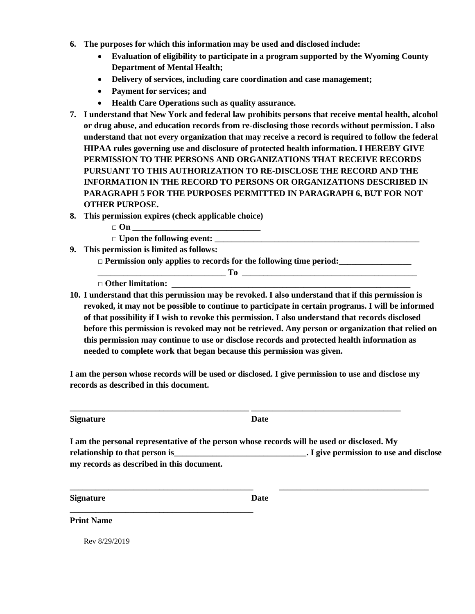- **6. The purposes for which this information may be used and disclosed include:**
	- **Evaluation of eligibility to participate in a program supported by the Wyoming County Department of Mental Health;**
	- **Delivery of services, including care coordination and case management;**
	- **Payment for services; and**
	- **Health Care Operations such as quality assurance.**
- **7. I understand that New York and federal law prohibits persons that receive mental health, alcohol or drug abuse, and education records from re-disclosing those records without permission. I also understand that not every organization that may receive a record is required to follow the federal HIPAA rules governing use and disclosure of protected health information. I HEREBY GIVE PERMISSION TO THE PERSONS AND ORGANIZATIONS THAT RECEIVE RECORDS PURSUANT TO THIS AUTHORIZATION TO RE-DISCLOSE THE RECORD AND THE INFORMATION IN THE RECORD TO PERSONS OR ORGANIZATIONS DESCRIBED IN PARAGRAPH 5 FOR THE PURPOSES PERMITTED IN PARAGRAPH 6, BUT FOR NOT OTHER PURPOSE.**
- **8. This permission expires (check applicable choice)**
	- $\Box$  On
		- $\Box$  Upon the following event:

**\_\_\_\_\_\_\_\_\_\_\_\_\_\_\_\_\_\_\_\_\_\_\_\_\_\_\_\_\_\_\_\_\_\_\_\_\_\_\_\_\_\_\_**

**9. This permission is limited as follows:**

**□ Permission only applies to records for the following time period:\_\_\_\_\_\_\_\_\_\_\_\_\_\_\_\_\_**

**\_\_\_\_\_\_\_\_\_\_\_\_\_\_\_\_\_\_\_\_\_\_\_\_\_\_\_\_\_\_ To \_\_\_\_\_\_\_\_\_\_\_\_\_\_\_\_\_\_\_\_\_\_\_\_\_\_\_\_\_\_\_\_\_\_\_\_\_\_\_\_\_**

□ Other limitation:

**10. I understand that this permission may be revoked. I also understand that if this permission is revoked, it may not be possible to continue to participate in certain programs. I will be informed of that possibility if I wish to revoke this permission. I also understand that records disclosed before this permission is revoked may not be retrieved. Any person or organization that relied on this permission may continue to use or disclose records and protected health information as needed to complete work that began because this permission was given.**

**I am the person whose records will be used or disclosed. I give permission to use and disclose my records as described in this document.**

**\_\_\_\_\_\_\_\_\_\_\_\_\_\_\_\_\_\_\_\_\_\_\_\_\_\_\_\_\_\_\_\_\_\_\_\_\_\_\_\_\_\_ \_\_\_\_\_\_\_\_\_\_\_\_\_\_\_\_\_\_\_\_\_\_\_\_\_\_\_\_\_\_\_\_\_\_\_**

**Signature Date**

**I am the personal representative of the person whose records will be used or disclosed. My relationship to that person is example 2. I give permission to use and disclose**  $\blacksquare$ **my records as described in this document.**

**\_\_\_\_\_\_\_\_\_\_\_\_\_\_\_\_\_\_\_\_\_\_\_\_\_\_\_\_\_\_\_\_\_\_\_\_\_\_\_\_\_\_\_ \_\_\_\_\_\_\_\_\_\_\_\_\_\_\_\_\_\_\_\_\_\_\_\_\_\_\_\_\_\_\_\_\_\_\_**

**Signature Date**

**Print Name**

Rev 8/29/2019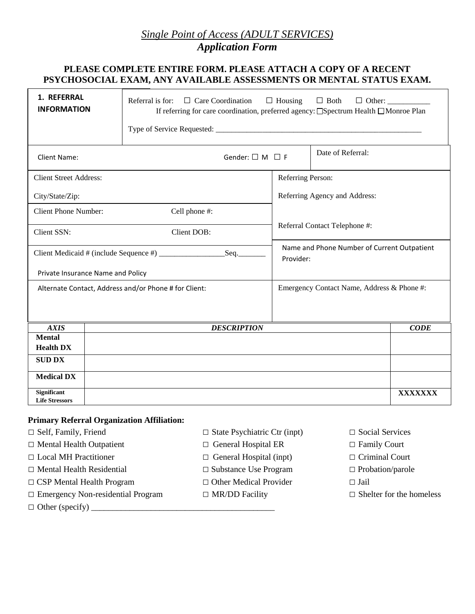# *Single Point of Access (ADULT SERVICES)*

*Application Form*

#### **PLEASE COMPLETE ENTIRE FORM. PLEASE ATTACH A COPY OF A RECENT PSYCHOSOCIAL EXAM, ANY AVAILABLE ASSESSMENTS OR MENTAL STATUS EXAM.**

| 1. REFERRAL<br><b>INFORMATION</b>                     |  | Referral is for: $\Box$ Care Coordination<br>If referring for care coordination, preferred agency: □Spectrum Health □Monroe Plan |                               |                                                          |             |  |  |  |
|-------------------------------------------------------|--|----------------------------------------------------------------------------------------------------------------------------------|-------------------------------|----------------------------------------------------------|-------------|--|--|--|
| Client Name:                                          |  | Gender: $\square$ M $\square$ F                                                                                                  |                               | Date of Referral:                                        |             |  |  |  |
| <b>Client Street Address:</b>                         |  |                                                                                                                                  | Referring Person:             |                                                          |             |  |  |  |
| City/State/Zip:                                       |  |                                                                                                                                  |                               | Referring Agency and Address:                            |             |  |  |  |
| <b>Client Phone Number:</b>                           |  | Cell phone #:                                                                                                                    |                               |                                                          |             |  |  |  |
| Client SSN:                                           |  | Client DOB:                                                                                                                      | Referral Contact Telephone #: |                                                          |             |  |  |  |
| $Seq$ .                                               |  |                                                                                                                                  |                               | Name and Phone Number of Current Outpatient<br>Provider: |             |  |  |  |
| Private Insurance Name and Policy                     |  |                                                                                                                                  |                               |                                                          |             |  |  |  |
| Alternate Contact, Address and/or Phone # for Client: |  |                                                                                                                                  |                               | Emergency Contact Name, Address & Phone #:               |             |  |  |  |
| <b>AXIS</b>                                           |  | <b>DESCRIPTION</b>                                                                                                               |                               |                                                          | <b>CODE</b> |  |  |  |
| <b>Mental</b><br><b>Health DX</b>                     |  |                                                                                                                                  |                               |                                                          |             |  |  |  |
| <b>SUD DX</b>                                         |  |                                                                                                                                  |                               |                                                          |             |  |  |  |
|                                                       |  |                                                                                                                                  |                               |                                                          |             |  |  |  |
| <b>Medical DX</b>                                     |  |                                                                                                                                  |                               |                                                          |             |  |  |  |
| <b>Significant</b><br><b>Life Stressors</b>           |  |                                                                                                                                  |                               |                                                          | XXXXXXX     |  |  |  |

#### **Primary Referral Organization Affiliation:**

- 
- □ Mental Health Outpatient □ General Hospital ER □ Family Court
- □ Local MH Practitioner □ General Hospital (inpt) □ Criminal Court
- □ Mental Health Residential □ Substance Use Program □ Probation/parole
- □ CSP Mental Health Program □ Other Medical Provider □ Jail
- □ Emergency Non-residential Program □ MR/DD Facility □ Shelter for the homeless
- □ Other (specify) \_\_\_\_\_\_\_\_\_\_\_\_\_\_\_\_\_\_\_\_\_\_\_\_\_\_\_\_\_\_\_\_\_\_\_\_\_\_\_\_\_\_\_
- □ Self, Family, Friend □ State Psychiatric Ctr (inpt) □ Social Services
	-
	-
	-
	-
	-
- 
- 
- 
- 
- 
-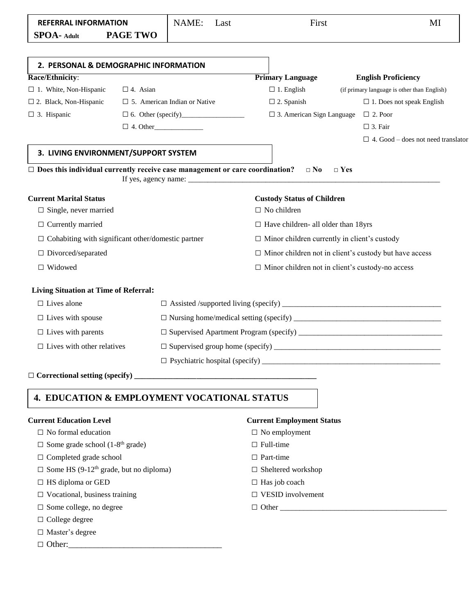| <b>REFERRAL INFORMATION</b>                                                         |                                     | NAME:<br>Last   |                             | First                                                                                   | MI                                          |  |  |  |
|-------------------------------------------------------------------------------------|-------------------------------------|-----------------|-----------------------------|-----------------------------------------------------------------------------------------|---------------------------------------------|--|--|--|
| <b>PAGE TWO</b><br><b>SPOA-</b> Adult                                               |                                     |                 |                             |                                                                                         |                                             |  |  |  |
| 2. PERSONAL & DEMOGRAPHIC INFORMATION                                               |                                     |                 |                             |                                                                                         |                                             |  |  |  |
| Race/Ethnicity:                                                                     |                                     |                 |                             | <b>Primary Language</b>                                                                 | <b>English Proficiency</b>                  |  |  |  |
| $\Box$ 1. White, Non-Hispanic                                                       | $\Box$ 4. Asian                     |                 |                             | $\Box$ 1. English                                                                       | (if primary language is other than English) |  |  |  |
| $\square$ 2. Black, Non-Hispanic                                                    | $\Box$ 5. American Indian or Native |                 |                             | $\Box$ 2. Spanish                                                                       | $\Box$ 1. Does not speak English            |  |  |  |
| $\Box$ 3. Hispanic                                                                  |                                     |                 |                             | $\Box$ 3. American Sign Language                                                        | $\Box$ 2. Poor                              |  |  |  |
|                                                                                     |                                     | $\Box$ 4. Other |                             |                                                                                         | $\Box$ 3. Fair                              |  |  |  |
|                                                                                     |                                     |                 |                             |                                                                                         | $\Box$ 4. Good – does not need translator   |  |  |  |
| 3. LIVING ENVIRONMENT/SUPPORT SYSTEM                                                |                                     |                 |                             |                                                                                         |                                             |  |  |  |
| $\Box$ Does this individual currently receive case management or care coordination? |                                     |                 |                             | $\square$ No<br>If yes, agency name: $\frac{1}{\sqrt{1-\frac{1}{2}} \cdot \frac{1}{2}}$ | $\Box$ Yes                                  |  |  |  |
| <b>Current Marital Status</b>                                                       |                                     |                 |                             | <b>Custody Status of Children</b>                                                       |                                             |  |  |  |
| $\Box$ Single, never married                                                        |                                     |                 |                             | $\Box$ No children                                                                      |                                             |  |  |  |
| $\Box$ Currently married                                                            |                                     |                 |                             | $\Box$ Have children- all older than 18yrs                                              |                                             |  |  |  |
| $\Box$ Cohabiting with significant other/domestic partner                           |                                     |                 |                             | $\Box$ Minor children currently in client's custody                                     |                                             |  |  |  |
| $\Box$ Divorced/separated                                                           |                                     |                 |                             | $\Box$ Minor children not in client's custody but have access                           |                                             |  |  |  |
| $\Box$ Widowed                                                                      |                                     |                 |                             | □ Minor children not in client's custody-no access                                      |                                             |  |  |  |
| <b>Living Situation at Time of Referral:</b>                                        |                                     |                 |                             |                                                                                         |                                             |  |  |  |
| $\Box$ Lives alone                                                                  |                                     |                 |                             |                                                                                         |                                             |  |  |  |
| $\Box$ Lives with spouse                                                            |                                     |                 |                             |                                                                                         |                                             |  |  |  |
| $\Box$ Lives with parents                                                           |                                     |                 |                             |                                                                                         |                                             |  |  |  |
| $\Box$ Lives with other relatives                                                   |                                     |                 |                             |                                                                                         |                                             |  |  |  |
|                                                                                     |                                     |                 |                             |                                                                                         |                                             |  |  |  |
|                                                                                     |                                     |                 |                             |                                                                                         |                                             |  |  |  |
| 4. EDUCATION & EMPLOYMENT VOCATIONAL STATUS                                         |                                     |                 |                             |                                                                                         |                                             |  |  |  |
| <b>Current Education Level</b>                                                      |                                     |                 |                             | <b>Current Employment Status</b>                                                        |                                             |  |  |  |
| $\Box$ No formal education                                                          |                                     |                 |                             | $\Box$ No employment                                                                    |                                             |  |  |  |
| $\Box$ Some grade school (1-8 <sup>th</sup> grade)                                  |                                     |                 |                             | $\Box$ Full-time                                                                        |                                             |  |  |  |
| $\Box$ Completed grade school                                                       |                                     |                 |                             | $\Box$ Part-time                                                                        |                                             |  |  |  |
| $\Box$ Some HS (9-12 <sup>th</sup> grade, but no diploma)                           |                                     |                 |                             | $\Box$ Sheltered workshop                                                               |                                             |  |  |  |
| $\Box$ HS diploma or GED                                                            |                                     |                 |                             | $\Box$ Has job coach                                                                    |                                             |  |  |  |
| $\Box$ Vocational, business training                                                |                                     |                 | $\square$ VESID involvement |                                                                                         |                                             |  |  |  |
| $\Box$ Some college, no degree                                                      |                                     |                 |                             |                                                                                         |                                             |  |  |  |
| $\Box$ College degree                                                               |                                     |                 |                             |                                                                                         |                                             |  |  |  |
| $\Box$ Master's degree                                                              |                                     |                 |                             |                                                                                         |                                             |  |  |  |
|                                                                                     |                                     |                 |                             |                                                                                         |                                             |  |  |  |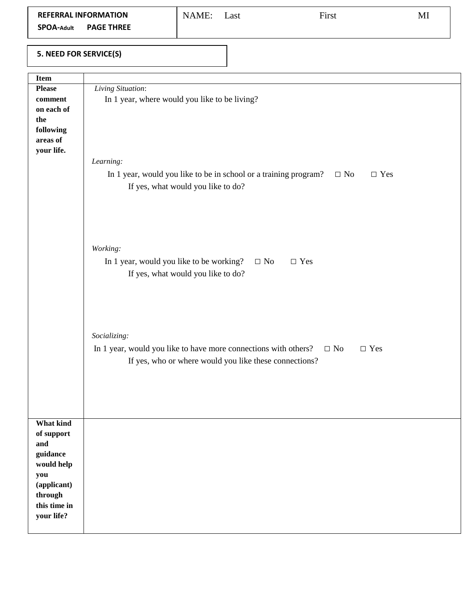| <b>REFERRAL INFORMATION</b>            | NAME: | ∟ast | First | MI |
|----------------------------------------|-------|------|-------|----|
| <b>PAGE THREE</b><br><b>SPOA-Adult</b> |       |      |       |    |

### **5. NEED FOR SERVICE(S)**

| Item          |                                                                                             |
|---------------|---------------------------------------------------------------------------------------------|
| <b>Please</b> | Living Situation:                                                                           |
| comment       | In 1 year, where would you like to be living?                                               |
| on each of    |                                                                                             |
| the           |                                                                                             |
| following     |                                                                                             |
| areas of      |                                                                                             |
| your life.    |                                                                                             |
|               | Learning:                                                                                   |
|               |                                                                                             |
|               | In 1 year, would you like to be in school or a training program?<br>$\Box$ No<br>$\Box$ Yes |
|               | If yes, what would you like to do?                                                          |
|               |                                                                                             |
|               |                                                                                             |
|               |                                                                                             |
|               |                                                                                             |
|               |                                                                                             |
|               | Working:                                                                                    |
|               | In 1 year, would you like to be working?<br>$\Box$ No<br>$\Box$ Yes                         |
|               | If yes, what would you like to do?                                                          |
|               |                                                                                             |
|               |                                                                                             |
|               |                                                                                             |
|               |                                                                                             |
|               |                                                                                             |
|               |                                                                                             |
|               | Socializing:                                                                                |
|               | In 1 year, would you like to have more connections with others?<br>$\Box$ No<br>$\Box$ Yes  |
|               | If yes, who or where would you like these connections?                                      |
|               |                                                                                             |
|               |                                                                                             |
|               |                                                                                             |
|               |                                                                                             |
|               |                                                                                             |
| What kind     |                                                                                             |
| of support    |                                                                                             |
| and           |                                                                                             |
| guidance      |                                                                                             |
| would help    |                                                                                             |
| you           |                                                                                             |
| (applicant)   |                                                                                             |
| through       |                                                                                             |
| this time in  |                                                                                             |
|               |                                                                                             |
| your life?    |                                                                                             |
|               |                                                                                             |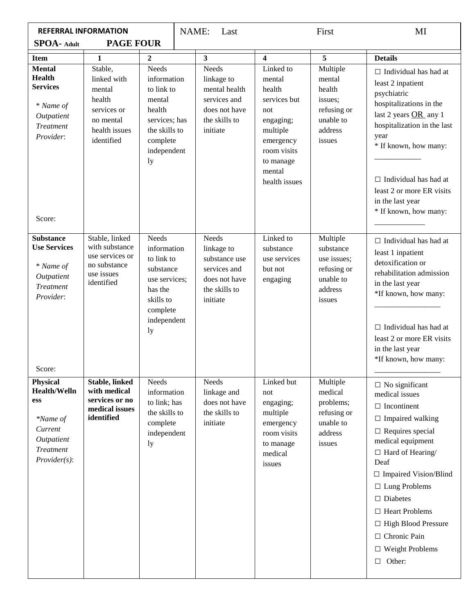| <b>REFERRAL INFORMATION</b>                                                                                               |                                                                                                       | NAME:                                                                                                                            | Last |                                                                                                    | First                                                                                                                                             | MI                                                                                       |                                                                                                                                                                                                                                                                                                                                                                               |
|---------------------------------------------------------------------------------------------------------------------------|-------------------------------------------------------------------------------------------------------|----------------------------------------------------------------------------------------------------------------------------------|------|----------------------------------------------------------------------------------------------------|---------------------------------------------------------------------------------------------------------------------------------------------------|------------------------------------------------------------------------------------------|-------------------------------------------------------------------------------------------------------------------------------------------------------------------------------------------------------------------------------------------------------------------------------------------------------------------------------------------------------------------------------|
| <b>SPOA- Adult</b>                                                                                                        | <b>PAGE FOUR</b>                                                                                      |                                                                                                                                  |      |                                                                                                    |                                                                                                                                                   |                                                                                          |                                                                                                                                                                                                                                                                                                                                                                               |
| <b>Item</b>                                                                                                               | $\mathbf{1}$                                                                                          | $\overline{2}$                                                                                                                   |      | $\overline{\mathbf{3}}$                                                                            | $\overline{\mathbf{4}}$                                                                                                                           | $\overline{5}$                                                                           | <b>Details</b>                                                                                                                                                                                                                                                                                                                                                                |
| <b>Mental</b><br><b>Health</b><br><b>Services</b><br>* Name of<br>Outpatient<br><b>Treatment</b><br>Provider:             | Stable,<br>linked with<br>mental<br>health<br>services or<br>no mental<br>health issues<br>identified | <b>Needs</b><br>information<br>to link to<br>mental<br>health<br>services; has<br>the skills to<br>complete<br>independent<br>ly |      | Needs<br>linkage to<br>mental health<br>services and<br>does not have<br>the skills to<br>initiate | Linked to<br>mental<br>health<br>services but<br>not<br>engaging;<br>multiple<br>emergency<br>room visits<br>to manage<br>mental<br>health issues | Multiple<br>mental<br>health<br>issues;<br>refusing or<br>unable to<br>address<br>issues | $\Box$ Individual has had at<br>least 2 inpatient<br>psychiatric<br>hospitalizations in the<br>last 2 years OR any 1<br>hospitalization in the last<br>year<br>* If known, how many:<br>$\Box$ Individual has had at<br>least 2 or more ER visits<br>in the last year<br>* If known, how many:                                                                                |
| Score:<br><b>Substance</b><br><b>Use Services</b><br>* Name of<br>Outpatient<br><b>Treatment</b><br>Provider:<br>Score:   | Stable, linked<br>with substance<br>use services or<br>no substance<br>use issues<br>identified       | Needs<br>information<br>to link to<br>substance<br>use services;<br>has the<br>skills to<br>complete<br>independent<br>ly        |      | Needs<br>linkage to<br>substance use<br>services and<br>does not have<br>the skills to<br>initiate | Linked to<br>substance<br>use services<br>but not<br>engaging                                                                                     | Multiple<br>substance<br>use issues;<br>refusing or<br>unable to<br>address<br>issues    | $\Box$ Individual has had at<br>least 1 inpatient<br>detoxification or<br>rehabilitation admission<br>in the last year<br>*If known, how many:<br>$\Box$ Individual has had at<br>least 2 or more ER visits<br>in the last year<br>*If known, how many:                                                                                                                       |
| <b>Physical</b><br><b>Health/Welln</b><br>ess<br>*Name of<br>Current<br>Outpatient<br><b>Treatment</b><br>$Provider(s)$ : | <b>Stable, linked</b><br>with medical<br>services or no<br>medical issues<br>identified               | Needs<br>information<br>to link; has<br>the skills to<br>complete<br>independent<br>ly                                           |      | Needs<br>linkage and<br>does not have<br>the skills to<br>initiate                                 | Linked but<br>not<br>engaging;<br>multiple<br>emergency<br>room visits<br>to manage<br>medical<br>issues                                          | Multiple<br>medical<br>problems;<br>refusing or<br>unable to<br>address<br>issues        | $\Box$ No significant<br>medical issues<br>$\Box$ Incontinent<br>$\Box$ Impaired walking<br>$\Box$ Requires special<br>medical equipment<br>$\Box$ Hard of Hearing/<br>Deaf<br>$\Box$ Impaired Vision/Blind<br>$\Box$ Lung Problems<br>$\Box$ Diabetes<br>$\Box$ Heart Problems<br>$\Box$ High Blood Pressure<br>□ Chronic Pain<br>$\Box$ Weight Problems<br>Other:<br>$\Box$ |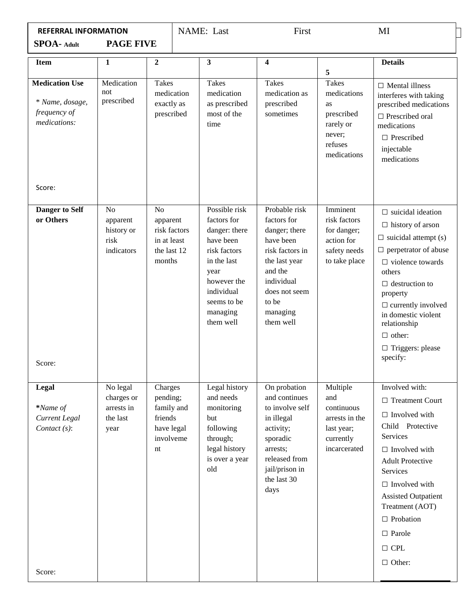| <b>REFERRAL INFORMATION</b>                                              |                                                                |                                                                                    | NAME: Last                                                                                                                                                             | First                                                                                                                                                                      |                                                                                                  | MI                                                                                                                                                                                                                                                                                                                      |
|--------------------------------------------------------------------------|----------------------------------------------------------------|------------------------------------------------------------------------------------|------------------------------------------------------------------------------------------------------------------------------------------------------------------------|----------------------------------------------------------------------------------------------------------------------------------------------------------------------------|--------------------------------------------------------------------------------------------------|-------------------------------------------------------------------------------------------------------------------------------------------------------------------------------------------------------------------------------------------------------------------------------------------------------------------------|
| <b>SPOA-</b> Adult                                                       | <b>PAGE FIVE</b>                                               |                                                                                    |                                                                                                                                                                        |                                                                                                                                                                            |                                                                                                  |                                                                                                                                                                                                                                                                                                                         |
| <b>Item</b>                                                              | 1                                                              | $\mathbf{2}$                                                                       | 3                                                                                                                                                                      | $\overline{\mathbf{4}}$                                                                                                                                                    | 5                                                                                                | <b>Details</b>                                                                                                                                                                                                                                                                                                          |
| <b>Medication Use</b><br>* Name, dosage,<br>frequency of<br>medications: | Medication<br>not<br>prescribed                                | <b>Takes</b><br>medication<br>exactly as<br>prescribed                             | <b>Takes</b><br>medication<br>as prescribed<br>most of the<br>time                                                                                                     | <b>Takes</b><br>medication as<br>prescribed<br>sometimes                                                                                                                   | <b>Takes</b><br>medications<br>as<br>prescribed<br>rarely or<br>never;<br>refuses<br>medications | $\Box$ Mental illness<br>interferes with taking<br>prescribed medications<br>$\Box$ Prescribed oral<br>medications<br>$\Box$ Prescribed<br>injectable<br>medications                                                                                                                                                    |
| Score:                                                                   |                                                                |                                                                                    |                                                                                                                                                                        |                                                                                                                                                                            |                                                                                                  |                                                                                                                                                                                                                                                                                                                         |
| <b>Danger to Self</b><br>or Others<br>Score:                             | N <sub>o</sub><br>apparent<br>history or<br>risk<br>indicators | N <sub>o</sub><br>apparent<br>risk factors<br>in at least<br>the last 12<br>months | Possible risk<br>factors for<br>danger: there<br>have been<br>risk factors<br>in the last<br>year<br>however the<br>individual<br>seems to be<br>managing<br>them well | Probable risk<br>factors for<br>danger; there<br>have been<br>risk factors in<br>the last year<br>and the<br>individual<br>does not seem<br>to be<br>managing<br>them well | Imminent<br>risk factors<br>for danger;<br>action for<br>safety needs<br>to take place           | $\Box$ suicidal ideation<br>$\Box$ history of arson<br>$\Box$ suicidal attempt (s)<br>$\Box$ perpetrator of abuse<br>$\Box$ violence towards<br>others<br>$\Box$ destruction to<br>property<br>$\Box$ currently involved<br>in domestic violent<br>relationship<br>$\Box$ other:<br>$\Box$ Triggers: please<br>specify: |
| Legal<br>*Name of<br>Current Legal<br>Contact $(s)$ :                    | No legal<br>charges or<br>arrests in<br>the last<br>year       | Charges<br>pending;<br>family and<br>friends<br>have legal<br>involveme<br>nt      | Legal history<br>and needs<br>monitoring<br>but<br>following<br>through;<br>legal history<br>is over a year<br>old                                                     | On probation<br>and continues<br>to involve self<br>in illegal<br>activity;<br>sporadic<br>arrests;<br>released from<br>jail/prison in<br>the last 30<br>days              | Multiple<br>and<br>continuous<br>arrests in the<br>last year;<br>currently<br>incarcerated       | Involved with:<br>□ Treatment Court<br>$\Box$ Involved with<br>Child Protective<br>Services<br>$\Box$ Involved with<br><b>Adult Protective</b><br>Services<br>$\Box$ Involved with<br><b>Assisted Outpatient</b><br>Treatment (AOT)<br>$\Box$ Probation<br>$\square$ Parole<br>$\Box$ CPL<br>$\Box$ Other:              |
| Score:                                                                   |                                                                |                                                                                    |                                                                                                                                                                        |                                                                                                                                                                            |                                                                                                  |                                                                                                                                                                                                                                                                                                                         |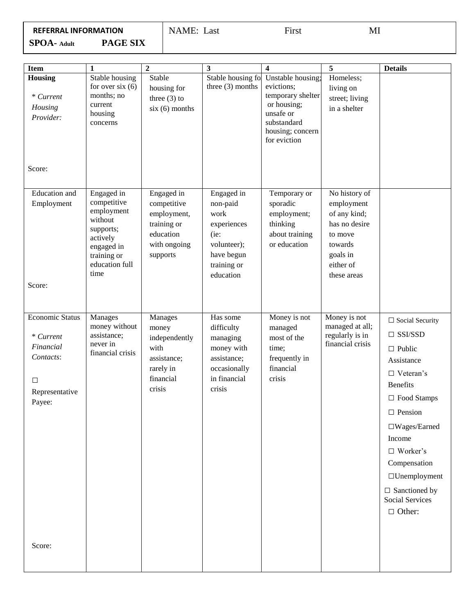| REFERRAL INFORMATION |  |  |  |  |  |  |  |  |  |  |
|----------------------|--|--|--|--|--|--|--|--|--|--|
|----------------------|--|--|--|--|--|--|--|--|--|--|

NAME: LastFirst MI

**SPOA- Adult PAGE SIX**

| <b>Item</b>                                                                                           | $\mathbf{1}$                                                                                                                       | $\boldsymbol{2}$                                                                                 | 3                                                                                                              | $\overline{\mathbf{4}}$                                                                                                                               | 5                                                                                                                          | <b>Details</b>                                                                                                                                                                                                                                                                                                           |
|-------------------------------------------------------------------------------------------------------|------------------------------------------------------------------------------------------------------------------------------------|--------------------------------------------------------------------------------------------------|----------------------------------------------------------------------------------------------------------------|-------------------------------------------------------------------------------------------------------------------------------------------------------|----------------------------------------------------------------------------------------------------------------------------|--------------------------------------------------------------------------------------------------------------------------------------------------------------------------------------------------------------------------------------------------------------------------------------------------------------------------|
| Housing<br>$*$ Current<br>Housing<br>Provider:                                                        | Stable housing<br>for over $six(6)$<br>months; no<br>current<br>housing<br>concerns                                                | Stable<br>housing for<br>three $(3)$ to<br>$six(6)$ months                                       | three $(3)$ months                                                                                             | Stable housing fo Unstable housing;<br>evictions;<br>temporary shelter<br>or housing;<br>unsafe or<br>substandard<br>housing; concern<br>for eviction | Homeless;<br>living on<br>street; living<br>in a shelter                                                                   |                                                                                                                                                                                                                                                                                                                          |
| Score:                                                                                                |                                                                                                                                    |                                                                                                  |                                                                                                                |                                                                                                                                                       |                                                                                                                            |                                                                                                                                                                                                                                                                                                                          |
| Education and<br>Employment                                                                           | Engaged in<br>competitive<br>employment<br>without<br>supports;<br>actively<br>engaged in<br>training or<br>education full<br>time | Engaged in<br>competitive<br>employment,<br>training or<br>education<br>with ongoing<br>supports | Engaged in<br>non-paid<br>work<br>experiences<br>(ie:<br>volunteer);<br>have begun<br>training or<br>education | Temporary or<br>sporadic<br>employment;<br>thinking<br>about training<br>or education                                                                 | No history of<br>employment<br>of any kind;<br>has no desire<br>to move<br>towards<br>goals in<br>either of<br>these areas |                                                                                                                                                                                                                                                                                                                          |
| Score:                                                                                                |                                                                                                                                    |                                                                                                  |                                                                                                                |                                                                                                                                                       |                                                                                                                            |                                                                                                                                                                                                                                                                                                                          |
| <b>Economic Status</b><br>$*$ Current<br>Financial<br>Contacts:<br>$\Box$<br>Representative<br>Payee: | Manages<br>money without<br>assistance;<br>never in<br>financial crisis                                                            | Manages<br>money<br>independently<br>with<br>assistance;<br>rarely in<br>financial<br>crisis     | Has some<br>difficulty<br>managing<br>money with<br>assistance;<br>occasionally<br>in financial<br>crisis      | Money is not<br>managed<br>most of the<br>time;<br>frequently in<br>financial<br>crisis                                                               | Money is not<br>managed at all;<br>regularly is in<br>financial crisis                                                     | $\Box$ Social Security<br>$\Box$ SSI/SSD<br>$\Box$ Public<br>Assistance<br>$\Box$ Veteran's<br><b>Benefits</b><br>□ Food Stamps<br>$\Box$ Pension<br>$\square$ Wages/Earned<br>Income<br>$\Box$ Worker's<br>Compensation<br>$\Box$ Unemployment<br>$\hfill\Box$ Sanctioned by<br><b>Social Services</b><br>$\Box$ Other: |
| Score:                                                                                                |                                                                                                                                    |                                                                                                  |                                                                                                                |                                                                                                                                                       |                                                                                                                            |                                                                                                                                                                                                                                                                                                                          |